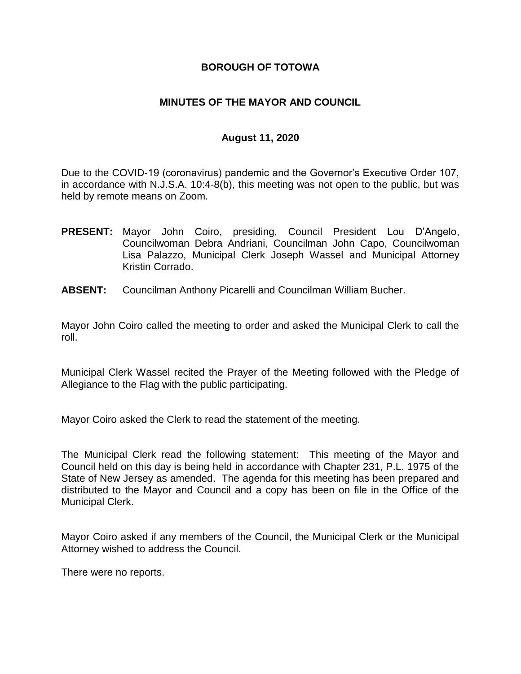### **BOROUGH OF TOTOWA**

### **MINUTES OF THE MAYOR AND COUNCIL**

### **August 11, 2020**

Due to the COVID-19 (coronavirus) pandemic and the Governor's Executive Order 107, in accordance with N.J.S.A. 10:4-8(b), this meeting was not open to the public, but was held by remote means on Zoom.

- **PRESENT:** Mayor John Coiro, presiding, Council President Lou D'Angelo, Councilwoman Debra Andriani, Councilman John Capo, Councilwoman Lisa Palazzo, Municipal Clerk Joseph Wassel and Municipal Attorney Kristin Corrado.
- **ABSENT:** Councilman Anthony Picarelli and Councilman William Bucher.

Mayor John Coiro called the meeting to order and asked the Municipal Clerk to call the roll.

Municipal Clerk Wassel recited the Prayer of the Meeting followed with the Pledge of Allegiance to the Flag with the public participating.

Mayor Coiro asked the Clerk to read the statement of the meeting.

The Municipal Clerk read the following statement: This meeting of the Mayor and Council held on this day is being held in accordance with Chapter 231, P.L. 1975 of the State of New Jersey as amended. The agenda for this meeting has been prepared and distributed to the Mayor and Council and a copy has been on file in the Office of the Municipal Clerk.

Mayor Coiro asked if any members of the Council, the Municipal Clerk or the Municipal Attorney wished to address the Council.

There were no reports.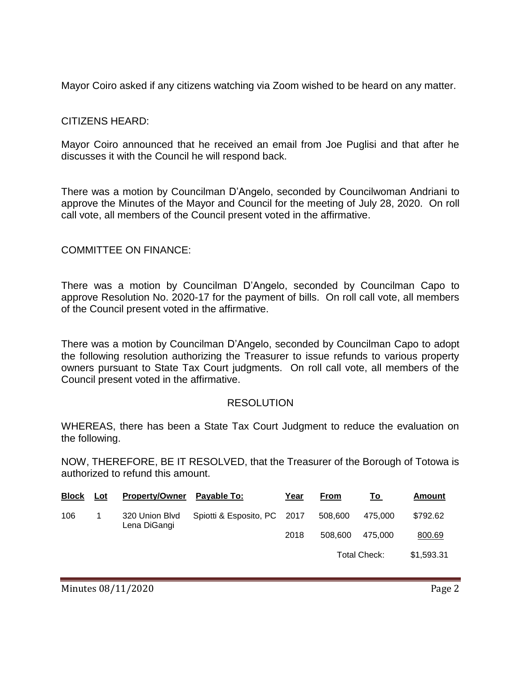Mayor Coiro asked if any citizens watching via Zoom wished to be heard on any matter.

### CITIZENS HEARD:

Mayor Coiro announced that he received an email from Joe Puglisi and that after he discusses it with the Council he will respond back.

There was a motion by Councilman D'Angelo, seconded by Councilwoman Andriani to approve the Minutes of the Mayor and Council for the meeting of July 28, 2020. On roll call vote, all members of the Council present voted in the affirmative.

#### COMMITTEE ON FINANCE:

There was a motion by Councilman D'Angelo, seconded by Councilman Capo to approve Resolution No. 2020-17 for the payment of bills. On roll call vote, all members of the Council present voted in the affirmative.

There was a motion by Councilman D'Angelo, seconded by Councilman Capo to adopt the following resolution authorizing the Treasurer to issue refunds to various property owners pursuant to State Tax Court judgments. On roll call vote, all members of the Council present voted in the affirmative.

#### RESOLUTION

WHEREAS, there has been a State Tax Court Judgment to reduce the evaluation on the following.

NOW, THEREFORE, BE IT RESOLVED, that the Treasurer of the Borough of Totowa is authorized to refund this amount.

| <b>Block</b> | Lot | <b>Property/Owner</b>          | Pavable To:                 | Year | From         | Τo      | Amount     |
|--------------|-----|--------------------------------|-----------------------------|------|--------------|---------|------------|
| 106          |     | 320 Union Blvd<br>Lena DiGangi | Spiotti & Esposito, PC 2017 |      | 508,600      | 475.000 | \$792.62   |
|              |     |                                |                             | 2018 | 508,600      | 475.000 | 800.69     |
|              |     |                                |                             |      | Total Check: |         | \$1,593.31 |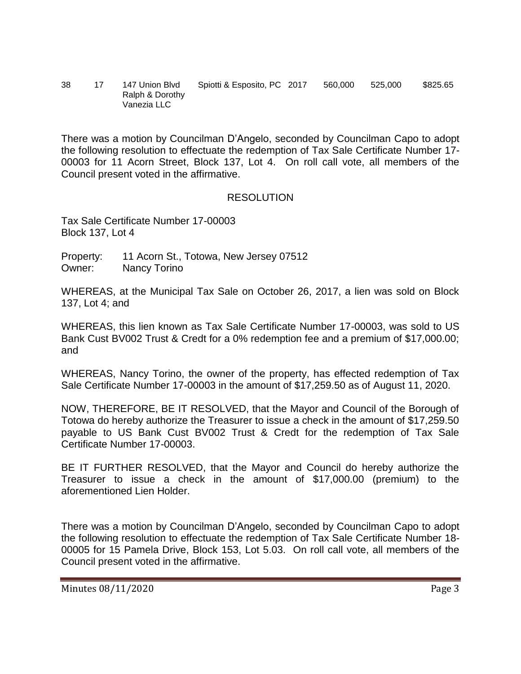38 17 147 Union Blvd Spiotti & Esposito, PC 2017 560,000 525,000 \$825.65 Ralph & Dorothy Vanezia LLC

There was a motion by Councilman D'Angelo, seconded by Councilman Capo to adopt the following resolution to effectuate the redemption of Tax Sale Certificate Number 17- 00003 for 11 Acorn Street, Block 137, Lot 4. On roll call vote, all members of the Council present voted in the affirmative.

### RESOLUTION

Tax Sale Certificate Number 17-00003 Block 137, Lot 4

Property: 11 Acorn St., Totowa, New Jersey 07512 Owner: Nancy Torino

WHEREAS, at the Municipal Tax Sale on October 26, 2017, a lien was sold on Block 137, Lot 4; and

WHEREAS, this lien known as Tax Sale Certificate Number 17-00003, was sold to US Bank Cust BV002 Trust & Credt for a 0% redemption fee and a premium of \$17,000.00; and

WHEREAS, Nancy Torino, the owner of the property, has effected redemption of Tax Sale Certificate Number 17-00003 in the amount of \$17,259.50 as of August 11, 2020.

NOW, THEREFORE, BE IT RESOLVED, that the Mayor and Council of the Borough of Totowa do hereby authorize the Treasurer to issue a check in the amount of \$17,259.50 payable to US Bank Cust BV002 Trust & Credt for the redemption of Tax Sale Certificate Number 17-00003.

BE IT FURTHER RESOLVED, that the Mayor and Council do hereby authorize the Treasurer to issue a check in the amount of \$17,000.00 (premium) to the aforementioned Lien Holder.

There was a motion by Councilman D'Angelo, seconded by Councilman Capo to adopt the following resolution to effectuate the redemption of Tax Sale Certificate Number 18- 00005 for 15 Pamela Drive, Block 153, Lot 5.03. On roll call vote, all members of the Council present voted in the affirmative.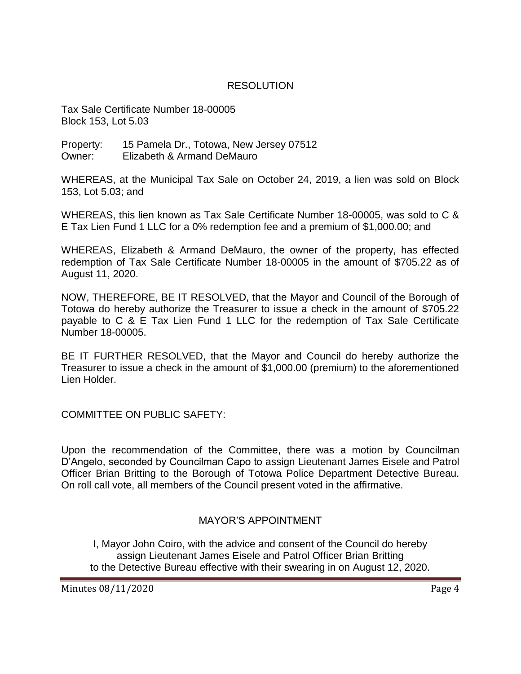### RESOLUTION

Tax Sale Certificate Number 18-00005 Block 153, Lot 5.03

Property: 15 Pamela Dr., Totowa, New Jersey 07512 Owner: Elizabeth & Armand DeMauro

WHEREAS, at the Municipal Tax Sale on October 24, 2019, a lien was sold on Block 153, Lot 5.03; and

WHEREAS, this lien known as Tax Sale Certificate Number 18-00005, was sold to C & E Tax Lien Fund 1 LLC for a 0% redemption fee and a premium of \$1,000.00; and

WHEREAS, Elizabeth & Armand DeMauro, the owner of the property, has effected redemption of Tax Sale Certificate Number 18-00005 in the amount of \$705.22 as of August 11, 2020.

NOW, THEREFORE, BE IT RESOLVED, that the Mayor and Council of the Borough of Totowa do hereby authorize the Treasurer to issue a check in the amount of \$705.22 payable to C & E Tax Lien Fund 1 LLC for the redemption of Tax Sale Certificate Number 18-00005.

BE IT FURTHER RESOLVED, that the Mayor and Council do hereby authorize the Treasurer to issue a check in the amount of \$1,000.00 (premium) to the aforementioned Lien Holder.

COMMITTEE ON PUBLIC SAFETY:

Upon the recommendation of the Committee, there was a motion by Councilman D'Angelo, seconded by Councilman Capo to assign Lieutenant James Eisele and Patrol Officer Brian Britting to the Borough of Totowa Police Department Detective Bureau. On roll call vote, all members of the Council present voted in the affirmative.

## MAYOR'S APPOINTMENT

I, Mayor John Coiro, with the advice and consent of the Council do hereby assign Lieutenant James Eisele and Patrol Officer Brian Britting to the Detective Bureau effective with their swearing in on August 12, 2020.

Minutes 08/11/2020 **Page 4**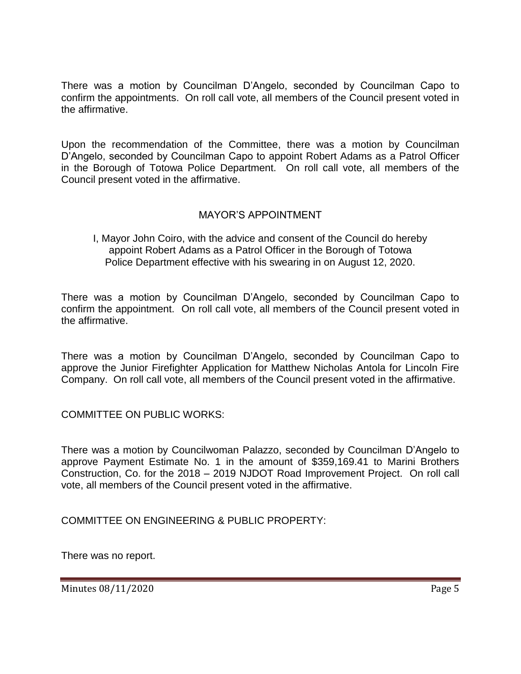There was a motion by Councilman D'Angelo, seconded by Councilman Capo to confirm the appointments. On roll call vote, all members of the Council present voted in the affirmative.

Upon the recommendation of the Committee, there was a motion by Councilman D'Angelo, seconded by Councilman Capo to appoint Robert Adams as a Patrol Officer in the Borough of Totowa Police Department. On roll call vote, all members of the Council present voted in the affirmative.

# MAYOR'S APPOINTMENT

I, Mayor John Coiro, with the advice and consent of the Council do hereby appoint Robert Adams as a Patrol Officer in the Borough of Totowa Police Department effective with his swearing in on August 12, 2020.

There was a motion by Councilman D'Angelo, seconded by Councilman Capo to confirm the appointment. On roll call vote, all members of the Council present voted in the affirmative.

There was a motion by Councilman D'Angelo, seconded by Councilman Capo to approve the Junior Firefighter Application for Matthew Nicholas Antola for Lincoln Fire Company. On roll call vote, all members of the Council present voted in the affirmative.

COMMITTEE ON PUBLIC WORKS:

There was a motion by Councilwoman Palazzo, seconded by Councilman D'Angelo to approve Payment Estimate No. 1 in the amount of \$359,169.41 to Marini Brothers Construction, Co. for the 2018 – 2019 NJDOT Road Improvement Project. On roll call vote, all members of the Council present voted in the affirmative.

COMMITTEE ON ENGINEERING & PUBLIC PROPERTY:

There was no report.

Minutes 08/11/2020 Page 5